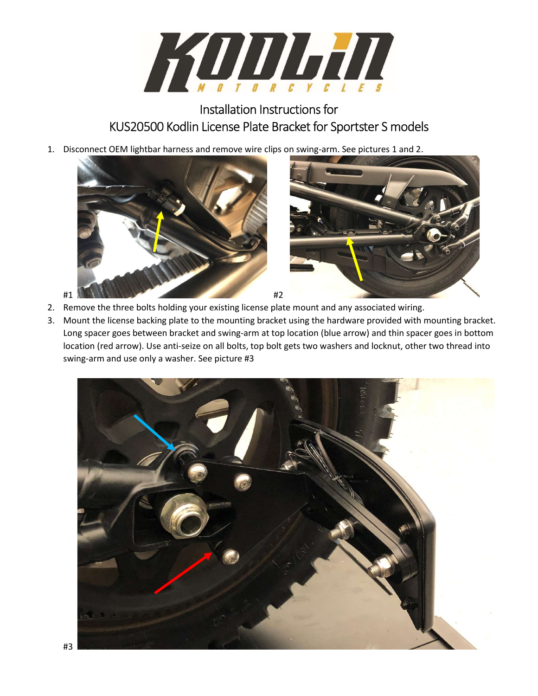

## Installation Instructions for KUS20500 Kodlin License Plate Bracket for Sportster S models

1. Disconnect OEM lightbar harness and remove wire clips on swing-arm. See pictures 1 and 2.



- 2. Remove the three bolts holding your existing license plate mount and any associated wiring.
- 3. Mount the license backing plate to the mounting bracket using the hardware provided with mounting bracket. Long spacer goes between bracket and swing-arm at top location (blue arrow) and thin spacer goes in bottom location (red arrow). Use anti-seize on all bolts, top bolt gets two washers and locknut, other two thread into swing-arm and use only a washer. See picture #3